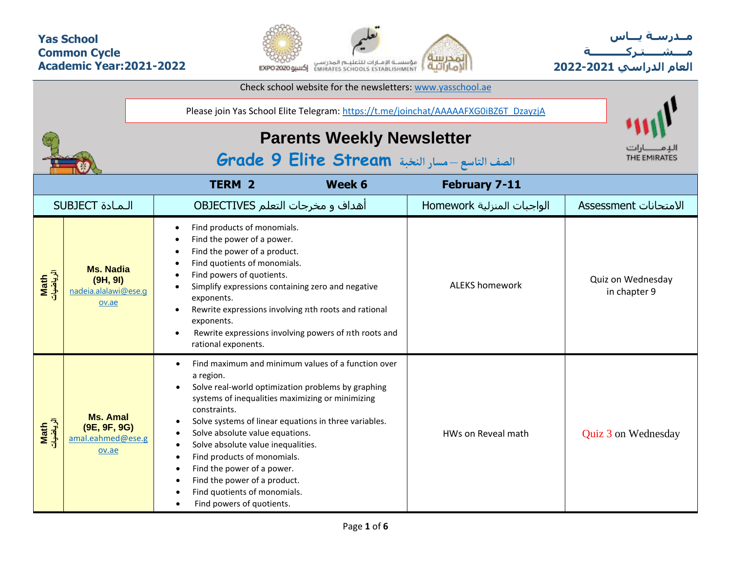## **Yas School Common Cycle Academic Year:2021-2022**



**مــدرسـة يـــاس مــــشـ ـــ ـتـ ركـ ــــــــــ ة العام الدراسي -2021 2022**

| Check school website for the newsletters: www.yasschool.ae |                                                               |                                                                                                                                                                                                                                                                                                                                                                                                                                                                                       |                            |                                   |  |  |  |  |  |  |  |  |
|------------------------------------------------------------|---------------------------------------------------------------|---------------------------------------------------------------------------------------------------------------------------------------------------------------------------------------------------------------------------------------------------------------------------------------------------------------------------------------------------------------------------------------------------------------------------------------------------------------------------------------|----------------------------|-----------------------------------|--|--|--|--|--|--|--|--|
|                                                            |                                                               | Please join Yas School Elite Telegram: https://t.me/joinchat/AAAAAFXG0iBZ6T_DzayzjA                                                                                                                                                                                                                                                                                                                                                                                                   |                            |                                   |  |  |  |  |  |  |  |  |
|                                                            |                                                               | <b>Parents Weekly Newsletter</b><br>الصف التاسع - مسار النخبة Grade 9 Elite Stream                                                                                                                                                                                                                                                                                                                                                                                                    | THE EMIRATES               |                                   |  |  |  |  |  |  |  |  |
|                                                            |                                                               | <b>TERM 2</b><br>Week 6                                                                                                                                                                                                                                                                                                                                                                                                                                                               | <b>February 7-11</b>       |                                   |  |  |  |  |  |  |  |  |
|                                                            | <b>SUBJECT</b> الـمـادة                                       | أهداف و مخرجات التعلم OBJECTIVES                                                                                                                                                                                                                                                                                                                                                                                                                                                      | الواجبات المنزلية Homework | الامتحانات Assessment             |  |  |  |  |  |  |  |  |
| Math<br>الرياضيات                                          | <b>Ms. Nadia</b><br>(9H, 9I)<br>nadeia.alalawi@ese.q<br>ov.ae | Find products of monomials.<br>Find the power of a power.<br>Find the power of a product.<br>Find quotients of monomials.<br>Find powers of quotients.<br>Simplify expressions containing zero and negative<br>$\bullet$<br>exponents.<br>Rewrite expressions involving nth roots and rational<br>exponents.<br>Rewrite expressions involving powers of nth roots and<br>$\bullet$<br>rational exponents.                                                                             | <b>ALEKS homework</b>      | Quiz on Wednesday<br>in chapter 9 |  |  |  |  |  |  |  |  |
| Math<br>الرياضيات                                          | <b>Ms. Amal</b><br>(9E, 9F, 9G)<br>amal.eahmed@ese.g<br>ov.ae | Find maximum and minimum values of a function over<br>a region.<br>Solve real-world optimization problems by graphing<br>systems of inequalities maximizing or minimizing<br>constraints.<br>Solve systems of linear equations in three variables.<br>Solve absolute value equations.<br>Solve absolute value inequalities.<br>Find products of monomials.<br>Find the power of a power.<br>Find the power of a product.<br>Find quotients of monomials.<br>Find powers of quotients. | HWs on Reveal math         | Quiz 3 on Wednesday               |  |  |  |  |  |  |  |  |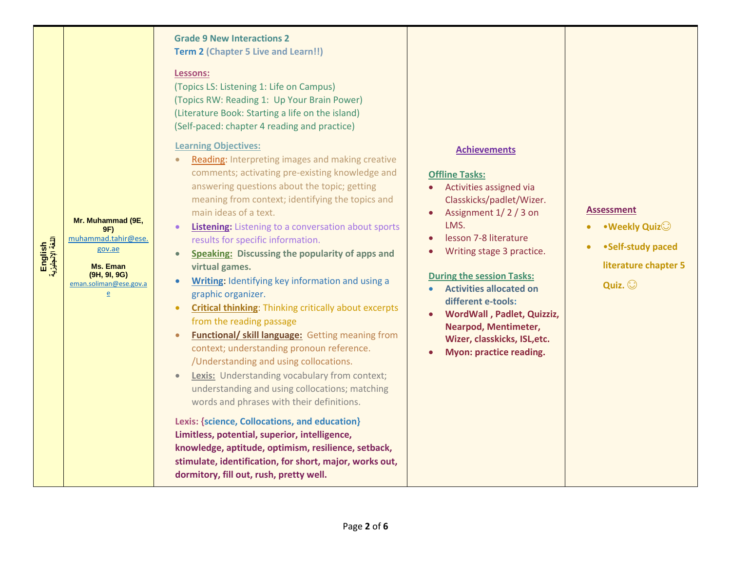| English<br>اللغة الإنجليزية | Mr. Muhammad (9E,<br>9F)<br>muhammad.tahir@ese.<br>gov.ae<br>Ms. Eman<br>(9H, 9I, 9G)<br>eman.soliman@ese.gov.a<br>$\overline{e}$ | <b>Grade 9 New Interactions 2</b><br><b>Term 2 (Chapter 5 Live and Learn!!)</b><br>Lessons:<br>(Topics LS: Listening 1: Life on Campus)<br>(Topics RW: Reading 1: Up Your Brain Power)<br>(Literature Book: Starting a life on the island)<br>(Self-paced: chapter 4 reading and practice)<br><b>Learning Objectives:</b><br>Reading: Interpreting images and making creative<br>comments; activating pre-existing knowledge and<br>answering questions about the topic; getting<br>meaning from context; identifying the topics and<br>main ideas of a text.<br>Listening: Listening to a conversation about sports<br>results for specific information.<br><b>Speaking: Discussing the popularity of apps and</b><br>virtual games.<br>Writing: Identifying key information and using a<br>$\bullet$<br>graphic organizer.<br><b>Critical thinking:</b> Thinking critically about excerpts<br>$\bullet$<br>from the reading passage<br><b>Functional/ skill language: Getting meaning from</b><br>context; understanding pronoun reference.<br>/Understanding and using collocations.<br><b>Lexis:</b> Understanding vocabulary from context;<br>$\bullet$<br>understanding and using collocations; matching<br>words and phrases with their definitions.<br>Lexis: {science, Collocations, and education}<br>Limitless, potential, superior, intelligence,<br>knowledge, aptitude, optimism, resilience, setback,<br>stimulate, identification, for short, major, works out,<br>dormitory, fill out, rush, pretty well. | <b>Achievements</b><br><b>Offline Tasks:</b><br>Activities assigned via<br>Classkicks/padlet/Wizer.<br>Assignment 1/2/3 on<br>$\bullet$<br>LMS.<br>lesson 7-8 literature<br>Writing stage 3 practice.<br><b>During the session Tasks:</b><br><b>Activities allocated on</b><br>different e-tools:<br>WordWall, Padlet, Quizziz,<br>Nearpod, Mentimeter,<br>Wizer, classkicks, ISL, etc.<br>Myon: practice reading. | <b>Assessment</b><br>• Weekly Quiz<br>•Self-study paced<br>literature chapter 5<br>Quiz. $\odot$ |
|-----------------------------|-----------------------------------------------------------------------------------------------------------------------------------|----------------------------------------------------------------------------------------------------------------------------------------------------------------------------------------------------------------------------------------------------------------------------------------------------------------------------------------------------------------------------------------------------------------------------------------------------------------------------------------------------------------------------------------------------------------------------------------------------------------------------------------------------------------------------------------------------------------------------------------------------------------------------------------------------------------------------------------------------------------------------------------------------------------------------------------------------------------------------------------------------------------------------------------------------------------------------------------------------------------------------------------------------------------------------------------------------------------------------------------------------------------------------------------------------------------------------------------------------------------------------------------------------------------------------------------------------------------------------------------------------------------------------|--------------------------------------------------------------------------------------------------------------------------------------------------------------------------------------------------------------------------------------------------------------------------------------------------------------------------------------------------------------------------------------------------------------------|--------------------------------------------------------------------------------------------------|
|-----------------------------|-----------------------------------------------------------------------------------------------------------------------------------|----------------------------------------------------------------------------------------------------------------------------------------------------------------------------------------------------------------------------------------------------------------------------------------------------------------------------------------------------------------------------------------------------------------------------------------------------------------------------------------------------------------------------------------------------------------------------------------------------------------------------------------------------------------------------------------------------------------------------------------------------------------------------------------------------------------------------------------------------------------------------------------------------------------------------------------------------------------------------------------------------------------------------------------------------------------------------------------------------------------------------------------------------------------------------------------------------------------------------------------------------------------------------------------------------------------------------------------------------------------------------------------------------------------------------------------------------------------------------------------------------------------------------|--------------------------------------------------------------------------------------------------------------------------------------------------------------------------------------------------------------------------------------------------------------------------------------------------------------------------------------------------------------------------------------------------------------------|--------------------------------------------------------------------------------------------------|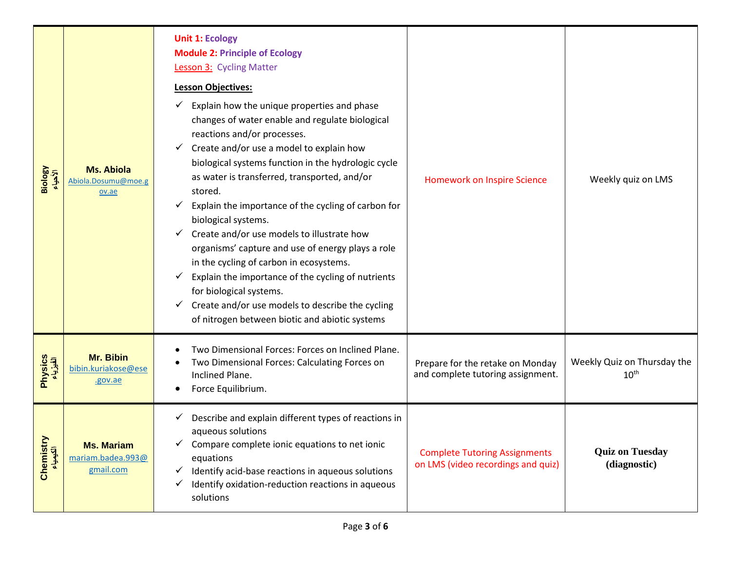| Biology<br>الأهياء   | <b>Ms. Abiola</b><br>Abiola.Dosumu@moe.g<br>ov.ae   | <b>Unit 1: Ecology</b><br><b>Module 2: Principle of Ecology</b><br><b>Lesson 3: Cycling Matter</b><br><b>Lesson Objectives:</b><br>Explain how the unique properties and phase<br>changes of water enable and regulate biological<br>reactions and/or processes.<br>Create and/or use a model to explain how<br>✓<br>biological systems function in the hydrologic cycle<br>as water is transferred, transported, and/or<br>stored.<br>Explain the importance of the cycling of carbon for<br>✔<br>biological systems.<br>Create and/or use models to illustrate how<br>✓<br>organisms' capture and use of energy plays a role<br>in the cycling of carbon in ecosystems.<br>Explain the importance of the cycling of nutrients<br>for biological systems.<br>Create and/or use models to describe the cycling<br>✓<br>of nitrogen between biotic and abiotic systems | <b>Homework on Inspire Science</b>                                         | Weekly quiz on LMS                              |
|----------------------|-----------------------------------------------------|-----------------------------------------------------------------------------------------------------------------------------------------------------------------------------------------------------------------------------------------------------------------------------------------------------------------------------------------------------------------------------------------------------------------------------------------------------------------------------------------------------------------------------------------------------------------------------------------------------------------------------------------------------------------------------------------------------------------------------------------------------------------------------------------------------------------------------------------------------------------------|----------------------------------------------------------------------------|-------------------------------------------------|
| Physics<br>الفیزیاء  | <b>Mr. Bibin</b><br>bibin.kuriakose@ese<br>.gov.ae  | Two Dimensional Forces: Forces on Inclined Plane.<br>Two Dimensional Forces: Calculating Forces on<br>Inclined Plane.<br>Force Equilibrium.                                                                                                                                                                                                                                                                                                                                                                                                                                                                                                                                                                                                                                                                                                                           | Prepare for the retake on Monday<br>and complete tutoring assignment.      | Weekly Quiz on Thursday the<br>$10^{\text{th}}$ |
| Chemistr<br>الكيمياء | <b>Ms. Mariam</b><br>mariam.badea.993@<br>gmail.com | Describe and explain different types of reactions in<br>aqueous solutions<br>Compare complete ionic equations to net ionic<br>equations<br>Identify acid-base reactions in aqueous solutions<br>✓<br>Identify oxidation-reduction reactions in aqueous<br>✓<br>solutions                                                                                                                                                                                                                                                                                                                                                                                                                                                                                                                                                                                              | <b>Complete Tutoring Assignments</b><br>on LMS (video recordings and quiz) | <b>Quiz on Tuesday</b><br>(diagnostic)          |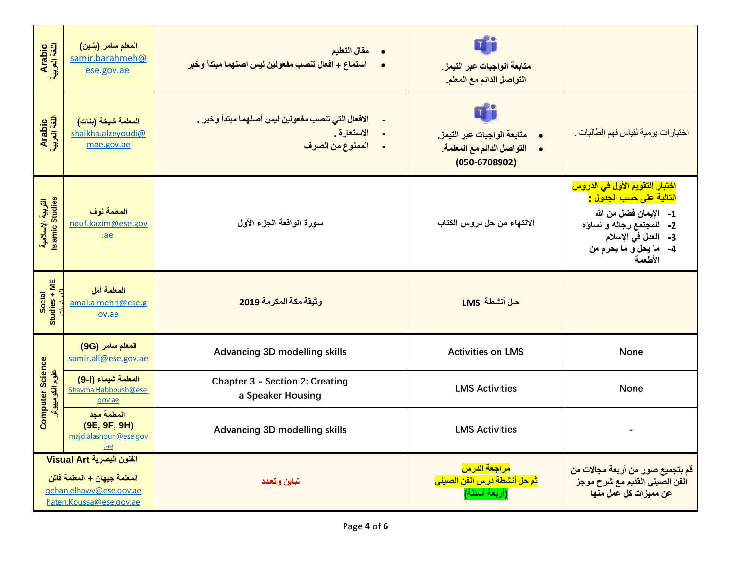| Arabic<br>اللغة العربية                                                                                         | المعلم سامر (بنين)<br>samir.barahmeh@<br>ese.gov.ae            | مقال التعليم<br>$\bullet$<br>استماع + افعال تنصب مفعولين ليس اصلهما مبتدأ وخبر       | متابعة الواجبات عبر التيمز.<br>التواصل الدائم مع المعلم.                                                                     |                                                                                                                                                                                             |
|-----------------------------------------------------------------------------------------------------------------|----------------------------------------------------------------|--------------------------------------------------------------------------------------|------------------------------------------------------------------------------------------------------------------------------|---------------------------------------------------------------------------------------------------------------------------------------------------------------------------------------------|
| Arabic<br>اللغة العربية                                                                                         | المعلمة شيخة (بنات)<br>shaikha.alzeyoudi@<br>moe.gov.ae        | الافعال التي تنصب مفعولين ليس أصلهما مبتدأ وخبر .<br>الاستعارة .<br>الممنوع من الصرف | $T$ <sup>-</sup><br>متابعة الواجبات عبر التيمز.<br>$\bullet$<br>التواصل الدائم مع المعلمة.<br>$\bullet$<br>$(050 - 6708902)$ | اختبار ات يومية لقياس فهم الطالبات .                                                                                                                                                        |
| الٹربیة الإسلامیة<br>Islamic Studies                                                                            | المعلمة نوف<br>nouf.kazim@ese.gov<br>.ae                       | سورة الواقعة الجزء الأول                                                             | الانتهاء من حل دروس الكتاب                                                                                                   | اختبار التقويم الأول ف <i>ي</i> الدروس<br>التالية على حسب الجدول <u>:</u><br>1- الإيمان فضل من الله<br>2- للمجتمع رجاله و نساؤه<br>3- المعل في الإسلام<br>4- ما يحل و ما يحرم من<br>الأطعمة |
| Studies + ME<br>Social                                                                                          | المعلمة أمل<br>amal.almehri@ese.g<br>ov.ae                     | وثيقة مكة المكرمة 2019                                                               | حل أنشطة LMS                                                                                                                 |                                                                                                                                                                                             |
|                                                                                                                 | المعلم سامر (9G)<br>samir.ali@ese.gov.ae                       | <b>Advancing 3D modelling skills</b>                                                 | <b>Activities on LMS</b>                                                                                                     | <b>None</b>                                                                                                                                                                                 |
| <b>Computer Science</b><br>علوم الكومييوتر                                                                      | المعلمة شيماء (1-9)<br>Shayma.Habboush@ese.<br>gov.ae          | <b>Chapter 3 - Section 2: Creating</b><br>a Speaker Housing                          | <b>LMS Activities</b>                                                                                                        | <b>None</b>                                                                                                                                                                                 |
|                                                                                                                 | المعلمة مجد<br>(9E, 9F, 9H)<br>majd.alashouri@ese.gov<br>$a$ e | <b>Advancing 3D modelling skills</b>                                                 | <b>LMS Activities</b>                                                                                                        |                                                                                                                                                                                             |
| الفنون البصرية Visual Art<br>المعلمة جيهان + المعلمة فاتن<br>gehan.elhawy@ese.gov.ae<br>Faten.Koussa@ese.gov.ae |                                                                | تباين وتعدد                                                                          | <mark>مراجعة الدرس</mark><br>ثم حل أنشطة درس الفن الصيني<br>(أربعة أسئلة)                                                    | قم بتجميع صور من أربعة مجالات من<br>الفن الصيني القديم مع شرح موجز<br>عن مميزات كل عمل منها                                                                                                 |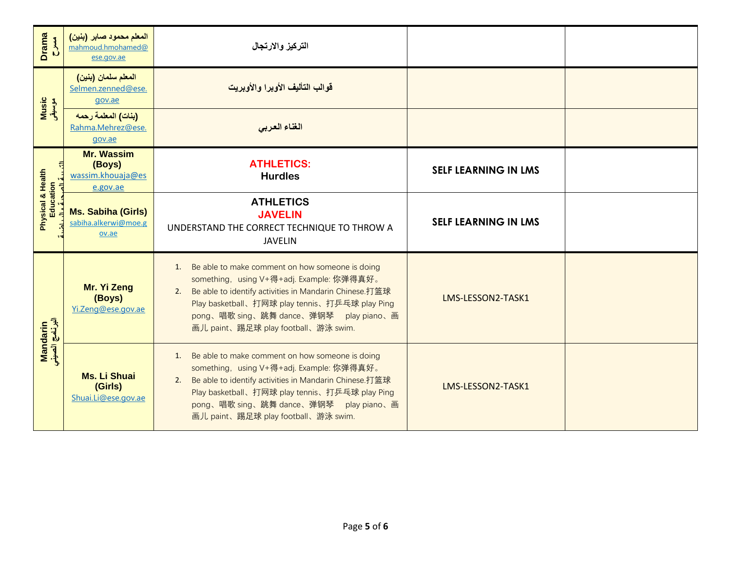| Drama<br>C                     | المعلم محمود صابر (بنين)<br>mahmoud.hmohamed@<br>ese.gov.ae  | التركيز والارتجال                                                                                                                                                                                                                                                                               |                             |  |
|--------------------------------|--------------------------------------------------------------|-------------------------------------------------------------------------------------------------------------------------------------------------------------------------------------------------------------------------------------------------------------------------------------------------|-----------------------------|--|
|                                | المعلم سلمان (بنين)<br>Selmen.zenned@ese.<br>gov.ae          | قوالب التأليف الأوبرا والأوبريت                                                                                                                                                                                                                                                                 |                             |  |
| <mark>Music</mark><br>موسیقی   | (بنات) المعلمة رحمه<br>Rahma.Mehrez@ese.<br>gov.ae           | الغناء العربى                                                                                                                                                                                                                                                                                   |                             |  |
|                                | <b>Mr. Wassim</b><br>(Boys)<br>wassim.khouaja@es<br>e.gov.ae | <b>ATHLETICS:</b><br><b>Hurdles</b>                                                                                                                                                                                                                                                             | <b>SELF LEARNING IN LMS</b> |  |
| Physical & Health<br>Education | <b>Ms. Sabiha (Girls)</b><br>sabiha.alkerwi@moe.g<br>ov.ae   | <b>ATHLETICS</b><br><b>JAVELIN</b><br>UNDERSTAND THE CORRECT TECHNIQUE TO THROW A<br><b>JAVELIN</b>                                                                                                                                                                                             | <b>SELF LEARNING IN LMS</b> |  |
|                                | Mr. Yi Zeng<br>(Boys)<br>Yi.Zeng@ese.gov.ae                  | 1. Be able to make comment on how someone is doing<br>something, using V+得+adj. Example: 你弹得真好。<br>2. Be able to identify activities in Mandarin Chinese.打篮球<br>Play basketball、打网球 play tennis、打乒乓球 play Ping<br>pong、唱歌 sing、跳舞 dance、弹钢琴 play piano、画<br>画儿 paint、踢足球 play football、游泳 swim. | LMS-LESSON2-TASK1           |  |
| Mandarin<br>البرنامج الصيني    | <b>Ms. Li Shuai</b><br>(Girls)<br>Shuai.Li@ese.gov.ae        | 1. Be able to make comment on how someone is doing<br>something, using V+得+adj. Example: 你弹得真好。<br>2. Be able to identify activities in Mandarin Chinese.打篮球<br>Play basketball、打网球 play tennis、打乒乓球 play Ping<br>pong、唱歌 sing、跳舞 dance、弹钢琴 play piano、画<br>画儿 paint、踢足球 play football、游泳 swim. | LMS-LESSON2-TASK1           |  |